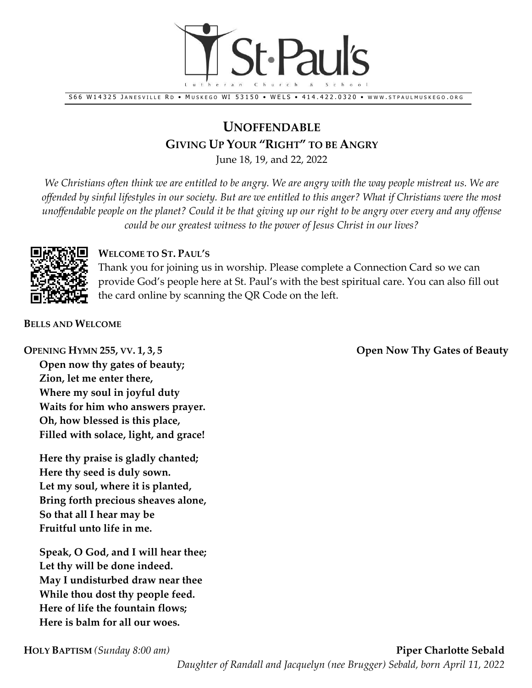

S66 W14325 JANESVILLE RD [.](http://www/) MUSKEGO WI 53150 . WELS . 414.422.0320 . WWW.STPAULMUSKEGO.ORG

# **UNOFFENDABLE GIVING UP YOUR "RIGHT" TO BE ANGRY**

June 18, 19, and 22, 2022

*We Christians often think we are entitled to be angry. We are angry with the way people mistreat us. We are offended by sinful lifestyles in our society. But are we entitled to this anger? What if Christians were the most unoffendable people on the planet? Could it be that giving up our right to be angry over every and any offense could be our greatest witness to the power of Jesus Christ in our lives?*



### **WELCOME TO ST. PAUL'S**

Thank you for joining us in worship. Please complete a Connection Card so we can provide God's people here at St. Paul's with the best spiritual care. You can also fill out the card online by scanning the QR Code on the left.

**BELLS AND WELCOME**

**Open now thy gates of beauty; Zion, let me enter there, Where my soul in joyful duty Waits for him who answers prayer. Oh, how blessed is this place, Filled with solace, light, and grace!**

**Here thy praise is gladly chanted; Here thy seed is duly sown. Let my soul, where it is planted, Bring forth precious sheaves alone, So that all I hear may be Fruitful unto life in me.**

**Speak, O God, and I will hear thee; Let thy will be done indeed. May I undisturbed draw near thee While thou dost thy people feed. Here of life the fountain flows; Here is balm for all our woes.**

**OPENING HYMN 255, VV. 1, 3, 5 Open Now Thy Gates of Beauty**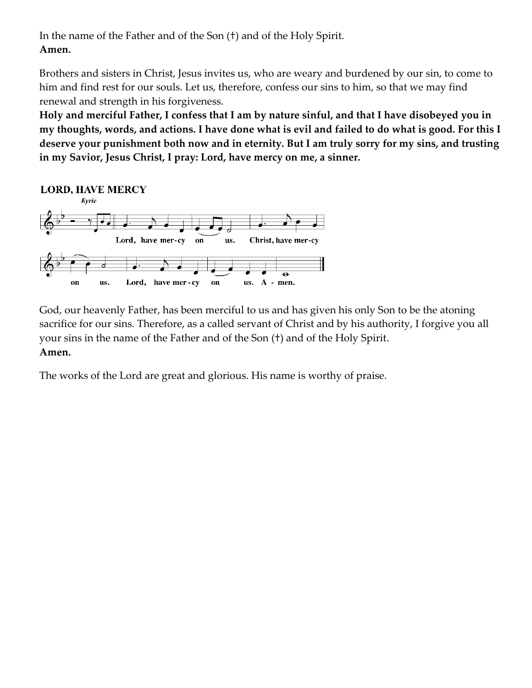In the name of the Father and of the Son (†) and of the Holy Spirit. **Amen.**

Brothers and sisters in Christ, Jesus invites us, who are weary and burdened by our sin, to come to him and find rest for our souls. Let us, therefore, confess our sins to him, so that we may find renewal and strength in his forgiveness.

**Holy and merciful Father, I confess that I am by nature sinful, and that I have disobeyed you in my thoughts, words, and actions. I have done what is evil and failed to do what is good. For this I deserve your punishment both now and in eternity. But I am truly sorry for my sins, and trusting in my Savior, Jesus Christ, I pray: Lord, have mercy on me, a sinner.**



God, our heavenly Father, has been merciful to us and has given his only Son to be the atoning sacrifice for our sins. Therefore, as a called servant of Christ and by his authority, I forgive you all your sins in the name of the Father and of the Son (†) and of the Holy Spirit. **Amen.**

The works of the Lord are great and glorious. His name is worthy of praise.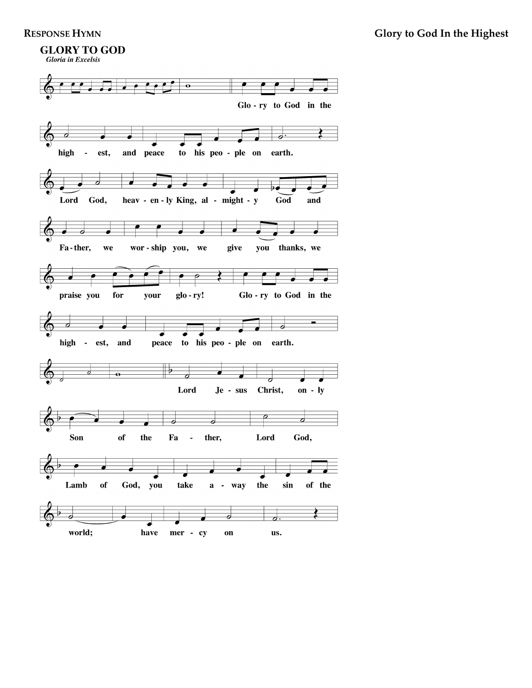# **GLORY TO GOD**



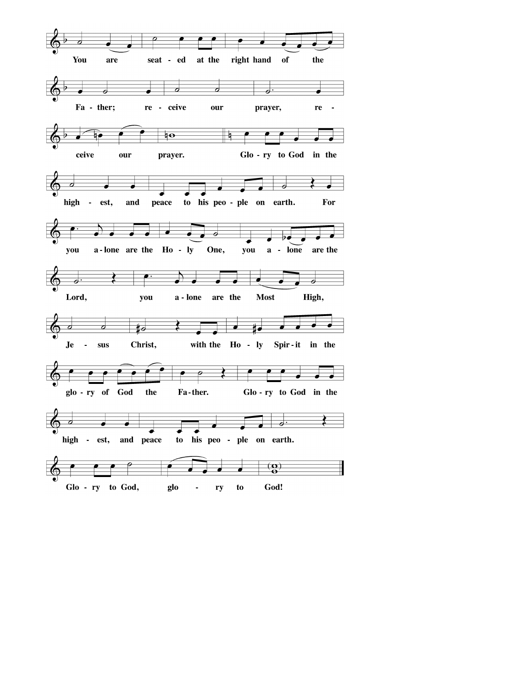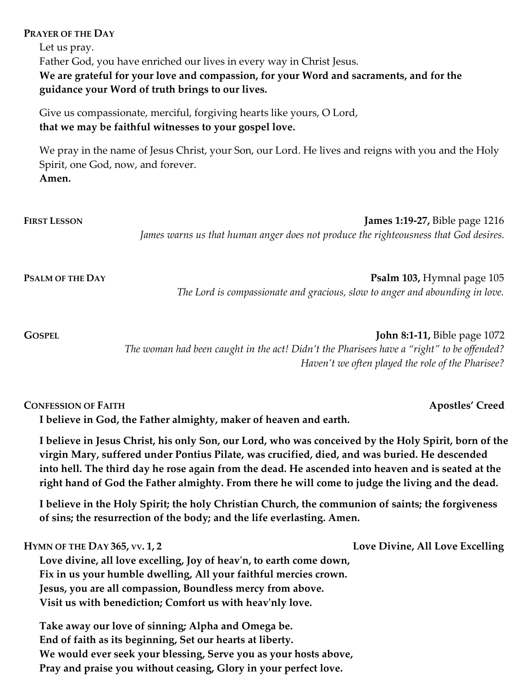### **PRAYER OF THE DAY**

Let us pray. Father God, you have enriched our lives in every way in Christ Jesus. **We are grateful for your love and compassion, for your Word and sacraments, and for the guidance your Word of truth brings to our lives.**

Give us compassionate, merciful, forgiving hearts like yours, O Lord, **that we may be faithful witnesses to your gospel love.** 

We pray in the name of Jesus Christ, your Son, our Lord. He lives and reigns with you and the Holy Spirit, one God, now, and forever. **Amen.**

| <b>FIRST LESSON</b> | James 1:19-27, Bible page 1216<br>James warns us that human anger does not produce the righteousness that God desires.           |
|---------------------|----------------------------------------------------------------------------------------------------------------------------------|
| PSALM OF THE DAY    | <b>Psalm 103, Hymnal page 105</b><br>The Lord is compassionate and gracious, slow to anger and abounding in love.                |
| <b>GOSPEL</b>       | <b>John 8:1-11, Bible page 1072</b><br>The woman had been caught in the act! Didn't the Pharisees have a "right" to be offended? |

*The woman had been caught in the act! Didn't the Pharisees have a "right" to be offended? Haven't we often played the role of the Pharisee?*

### **CONFESSION OF FAITH Apostles' Creed**

**I believe in God, the Father almighty, maker of heaven and earth.**

**I believe in Jesus Christ, his only Son, our Lord, who was conceived by the Holy Spirit, born of the virgin Mary, suffered under Pontius Pilate, was crucified, died, and was buried. He descended into hell. The third day he rose again from the dead. He ascended into heaven and is seated at the right hand of God the Father almighty. From there he will come to judge the living and the dead.**

**I believe in the Holy Spirit; the holy Christian Church, the communion of saints; the forgiveness of sins; the resurrection of the body; and the life everlasting. Amen.**

**HYMN OF THE DAY 365, VV. 1, 2 Love Divine, All Love Excelling Love divine, all love excelling, Joy of heav'n, to earth come down, Fix in us your humble dwelling, All your faithful mercies crown. Jesus, you are all compassion, Boundless mercy from above. Visit us with benediction; Comfort us with heav'nly love.**

**Take away our love of sinning; Alpha and Omega be. End of faith as its beginning, Set our hearts at liberty. We would ever seek your blessing, Serve you as your hosts above, Pray and praise you without ceasing, Glory in your perfect love.**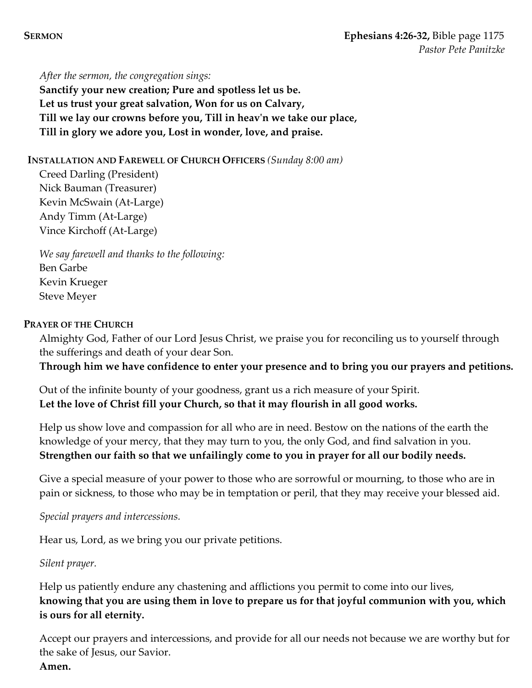*After the sermon, the congregation sings:* **Sanctify your new creation; Pure and spotless let us be. Let us trust your great salvation, Won for us on Calvary, Till we lay our crowns before you, Till in heav'n we take our place, Till in glory we adore you, Lost in wonder, love, and praise.**

**INSTALLATION AND FAREWELL OF CHURCH OFFICERS** *(Sunday 8:00 am)*

Creed Darling (President) Nick Bauman (Treasurer) Kevin McSwain (At-Large) Andy Timm (At-Large) Vince Kirchoff (At-Large)

*We say farewell and thanks to the following:* Ben Garbe Kevin Krueger Steve Meyer

# **PRAYER OF THE CHURCH**

Almighty God, Father of our Lord Jesus Christ, we praise you for reconciling us to yourself through the sufferings and death of your dear Son.

**Through him we have confidence to enter your presence and to bring you our prayers and petitions.**

Out of the infinite bounty of your goodness, grant us a rich measure of your Spirit. **Let the love of Christ fill your Church, so that it may flourish in all good works.** 

Help us show love and compassion for all who are in need. Bestow on the nations of the earth the knowledge of your mercy, that they may turn to you, the only God, and find salvation in you. **Strengthen our faith so that we unfailingly come to you in prayer for all our bodily needs.** 

Give a special measure of your power to those who are sorrowful or mourning, to those who are in pain or sickness, to those who may be in temptation or peril, that they may receive your blessed aid.

# *Special prayers and intercessions.*

Hear us, Lord, as we bring you our private petitions.

# *Silent prayer.*

Help us patiently endure any chastening and afflictions you permit to come into our lives, **knowing that you are using them in love to prepare us for that joyful communion with you, which is ours for all eternity.**

Accept our prayers and intercessions, and provide for all our needs not because we are worthy but for the sake of Jesus, our Savior. **Amen.**